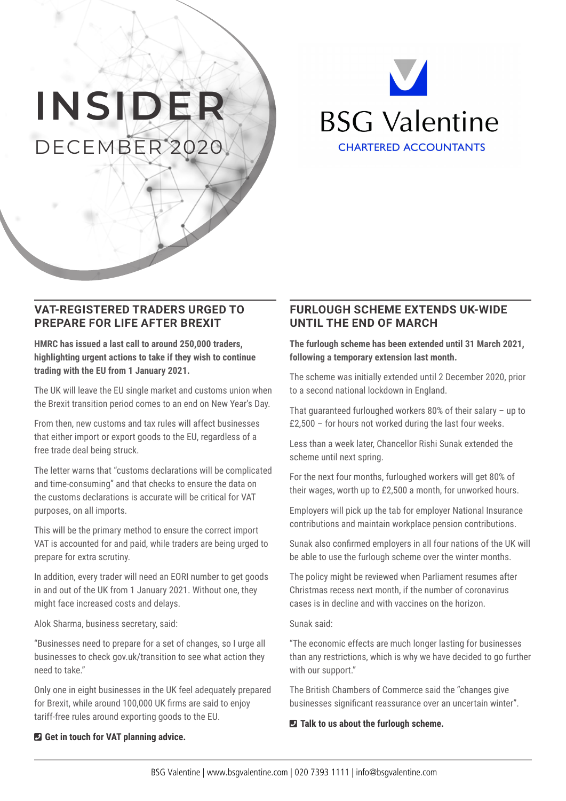# **INSIDER** DECEMBER 2020



### **VAT-REGISTERED TRADERS URGED TO PREPARE FOR LIFE AFTER BREXIT**

**HMRC has issued a last call to around 250,000 traders, highlighting urgent actions to take if they wish to continue trading with the EU from 1 January 2021.** 

The UK will leave the EU single market and customs union when the Brexit transition period comes to an end on New Year's Day.

From then, new customs and tax rules will affect businesses that either import or export goods to the EU, regardless of a free trade deal being struck.

The letter warns that "customs declarations will be complicated and time-consuming" and that checks to ensure the data on the customs declarations is accurate will be critical for VAT purposes, on all imports.

This will be the primary method to ensure the correct import VAT is accounted for and paid, while traders are being urged to prepare for extra scrutiny.

In addition, every trader will need an EORI number to get goods in and out of the UK from 1 January 2021. Without one, they might face increased costs and delays.

Alok Sharma, business secretary, said:

"Businesses need to prepare for a set of changes, so I urge all businesses to check gov.uk/transition to see what action they need to take."

Only one in eight businesses in the UK feel adequately prepared for Brexit, while around 100,000 UK firms are said to enjoy tariff-free rules around exporting goods to the EU.

## **FURLOUGH SCHEME EXTENDS UK-WIDE UNTIL THE END OF MARCH**

**The furlough scheme has been extended until 31 March 2021, following a temporary extension last month.** 

The scheme was initially extended until 2 December 2020, prior to a second national lockdown in England.

That guaranteed furloughed workers 80% of their salary – up to £2,500 – for hours not worked during the last four weeks.

Less than a week later, Chancellor Rishi Sunak extended the scheme until next spring.

For the next four months, furloughed workers will get 80% of their wages, worth up to £2,500 a month, for unworked hours.

Employers will pick up the tab for employer National Insurance contributions and maintain workplace pension contributions.

Sunak also confirmed employers in all four nations of the UK will be able to use the furlough scheme over the winter months.

The policy might be reviewed when Parliament resumes after Christmas recess next month, if the number of coronavirus cases is in decline and with vaccines on the horizon.

Sunak said:

"The economic effects are much longer lasting for businesses than any restrictions, which is why we have decided to go further with our support."

The British Chambers of Commerce said the "changes give businesses significant reassurance over an uncertain winter".

#### ¶ **Talk to us about the furlough scheme.**

#### ¶ **Get in touch for VAT planning advice.**